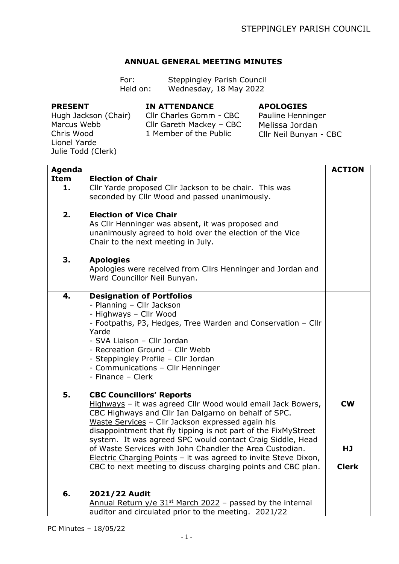## **ANNUAL GENERAL MEETING MINUTES**

| For:     | <b>Steppingley Parish Council</b> |
|----------|-----------------------------------|
| Held on: | Wednesday, 18 May 2022            |

## **PRESENT**

## **IN ATTENDANCE**

## **APOLOGIES**

Hugh Jackson (Chair) Marcus Webb Chris Wood Lionel Yarde Julie Todd (Clerk)

Cllr Charles Gomm - CBC Cllr Gareth Mackey – CBC 1 Member of the Public

Pauline Henninger Melissa Jordan Cllr Neil Bunyan - CBC

| Agenda |                                                                                                                                                                                                                                                                                                                                                                                                                                                                                                                                            | <b>ACTION</b>                   |
|--------|--------------------------------------------------------------------------------------------------------------------------------------------------------------------------------------------------------------------------------------------------------------------------------------------------------------------------------------------------------------------------------------------------------------------------------------------------------------------------------------------------------------------------------------------|---------------------------------|
| Item   | <b>Election of Chair</b>                                                                                                                                                                                                                                                                                                                                                                                                                                                                                                                   |                                 |
| 1.     | Cllr Yarde proposed Cllr Jackson to be chair. This was<br>seconded by Cllr Wood and passed unanimously.                                                                                                                                                                                                                                                                                                                                                                                                                                    |                                 |
| 2.     | <b>Election of Vice Chair</b><br>As Cllr Henninger was absent, it was proposed and<br>unanimously agreed to hold over the election of the Vice<br>Chair to the next meeting in July.                                                                                                                                                                                                                                                                                                                                                       |                                 |
| 3.     | <b>Apologies</b><br>Apologies were received from Cllrs Henninger and Jordan and<br>Ward Councillor Neil Bunyan.                                                                                                                                                                                                                                                                                                                                                                                                                            |                                 |
| 4.     | <b>Designation of Portfolios</b><br>- Planning - Cllr Jackson<br>- Highways - Cllr Wood<br>- Footpaths, P3, Hedges, Tree Warden and Conservation - Cllr<br>Yarde<br>- SVA Liaison - Cllr Jordan<br>- Recreation Ground - Cllr Webb<br>- Steppingley Profile - Cllr Jordan<br>- Communications - Cllr Henninger<br>- Finance - Clerk                                                                                                                                                                                                        |                                 |
| 5.     | <b>CBC Councillors' Reports</b><br>Highways - it was agreed Cllr Wood would email Jack Bowers,<br>CBC Highways and Cllr Ian Dalgarno on behalf of SPC.<br>Waste Services - Cllr Jackson expressed again his<br>disappointment that fly tipping is not part of the FixMyStreet<br>system. It was agreed SPC would contact Craig Siddle, Head<br>of Waste Services with John Chandler the Area Custodian.<br>Electric Charging Points - it was agreed to invite Steve Dixon,<br>CBC to next meeting to discuss charging points and CBC plan. | <b>CW</b><br>HJ<br><b>Clerk</b> |
| 6.     | 2021/22 Audit<br><u>Annual Return y/e 31<sup>st</sup> March 2022</u> – passed by the internal<br>auditor and circulated prior to the meeting. 2021/22                                                                                                                                                                                                                                                                                                                                                                                      |                                 |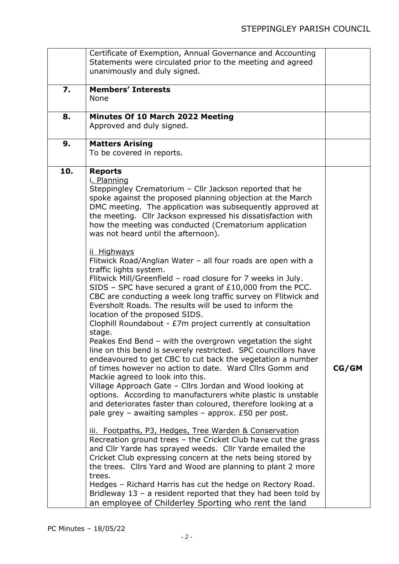|     | Certificate of Exemption, Annual Governance and Accounting                                                                                                                                                                                                                                                                                                                                                                                                                                                                                                                                                                                                                                                                                                                                                                                                                                                                                                                                                                                                                                                                                                                                                                                                                                                                                                                                                                                                                                                                                                                                                                                                                                                                                            |       |
|-----|-------------------------------------------------------------------------------------------------------------------------------------------------------------------------------------------------------------------------------------------------------------------------------------------------------------------------------------------------------------------------------------------------------------------------------------------------------------------------------------------------------------------------------------------------------------------------------------------------------------------------------------------------------------------------------------------------------------------------------------------------------------------------------------------------------------------------------------------------------------------------------------------------------------------------------------------------------------------------------------------------------------------------------------------------------------------------------------------------------------------------------------------------------------------------------------------------------------------------------------------------------------------------------------------------------------------------------------------------------------------------------------------------------------------------------------------------------------------------------------------------------------------------------------------------------------------------------------------------------------------------------------------------------------------------------------------------------------------------------------------------------|-------|
|     | Statements were circulated prior to the meeting and agreed<br>unanimously and duly signed.                                                                                                                                                                                                                                                                                                                                                                                                                                                                                                                                                                                                                                                                                                                                                                                                                                                                                                                                                                                                                                                                                                                                                                                                                                                                                                                                                                                                                                                                                                                                                                                                                                                            |       |
| 7.  | <b>Members' Interests</b><br>None                                                                                                                                                                                                                                                                                                                                                                                                                                                                                                                                                                                                                                                                                                                                                                                                                                                                                                                                                                                                                                                                                                                                                                                                                                                                                                                                                                                                                                                                                                                                                                                                                                                                                                                     |       |
| 8.  | Minutes Of 10 March 2022 Meeting<br>Approved and duly signed.                                                                                                                                                                                                                                                                                                                                                                                                                                                                                                                                                                                                                                                                                                                                                                                                                                                                                                                                                                                                                                                                                                                                                                                                                                                                                                                                                                                                                                                                                                                                                                                                                                                                                         |       |
| 9.  | <b>Matters Arising</b><br>To be covered in reports.                                                                                                                                                                                                                                                                                                                                                                                                                                                                                                                                                                                                                                                                                                                                                                                                                                                                                                                                                                                                                                                                                                                                                                                                                                                                                                                                                                                                                                                                                                                                                                                                                                                                                                   |       |
| 10. | <b>Reports</b><br>i. Planning<br>Steppingley Crematorium - Cllr Jackson reported that he<br>spoke against the proposed planning objection at the March<br>DMC meeting. The application was subsequently approved at<br>the meeting. Cllr Jackson expressed his dissatisfaction with<br>how the meeting was conducted (Crematorium application<br>was not heard until the afternoon).<br>ii Highways<br>Flitwick Road/Anglian Water - all four roads are open with a<br>traffic lights system.<br>Flitwick Mill/Greenfield - road closure for 7 weeks in July.<br>SIDS - SPC have secured a grant of $£10,000$ from the PCC.<br>CBC are conducting a week long traffic survey on Flitwick and<br>Eversholt Roads. The results will be used to inform the<br>location of the proposed SIDS.<br>Clophill Roundabout - £7m project currently at consultation<br>stage.<br>Peakes End Bend - with the overgrown vegetation the sight<br>line on this bend is severely restricted. SPC councillors have<br>endeavoured to get CBC to cut back the vegetation a number<br>of times however no action to date. Ward Cllrs Gomm and<br>Mackie agreed to look into this.<br>Village Approach Gate - Cllrs Jordan and Wood looking at<br>options. According to manufacturers white plastic is unstable<br>and deteriorates faster than coloured, therefore looking at a<br>pale grey – awaiting samples – approx. $£50$ per post.<br>iii. Footpaths, P3, Hedges, Tree Warden & Conservation<br>Recreation ground trees - the Cricket Club have cut the grass<br>and Cllr Yarde has sprayed weeds. Cllr Yarde emailed the<br>Cricket Club expressing concern at the nets being stored by<br>the trees. Cllrs Yard and Wood are planning to plant 2 more<br>trees. | CG/GM |
|     | Hedges - Richard Harris has cut the hedge on Rectory Road.<br>Bridleway $13 - a$ resident reported that they had been told by<br>an employee of Childerley Sporting who rent the land                                                                                                                                                                                                                                                                                                                                                                                                                                                                                                                                                                                                                                                                                                                                                                                                                                                                                                                                                                                                                                                                                                                                                                                                                                                                                                                                                                                                                                                                                                                                                                 |       |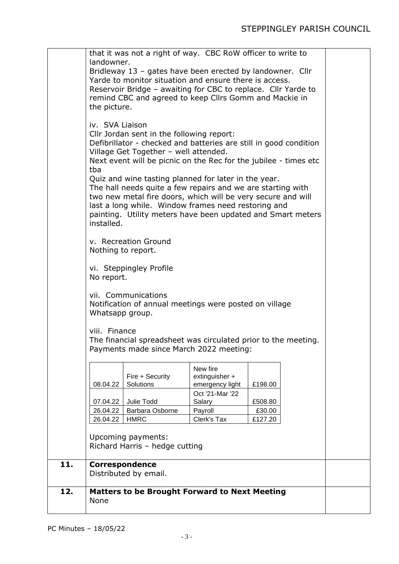|     | that it was not a right of way. CBC RoW officer to write to<br>landowner.<br>Bridleway 13 - gates have been erected by landowner. Cllr<br>Yarde to monitor situation and ensure there is access.<br>Reservoir Bridge - awaiting for CBC to replace. Cllr Yarde to<br>remind CBC and agreed to keep Cllrs Gomm and Mackie in<br>the picture.<br>iv. SVA Liaison<br>Cllr Jordan sent in the following report:<br>Defibrillator - checked and batteries are still in good condition<br>Village Get Together - well attended.<br>Next event will be picnic on the Rec for the jubilee - times etc<br>tba |                                                      |                                               |         |  |  |
|-----|------------------------------------------------------------------------------------------------------------------------------------------------------------------------------------------------------------------------------------------------------------------------------------------------------------------------------------------------------------------------------------------------------------------------------------------------------------------------------------------------------------------------------------------------------------------------------------------------------|------------------------------------------------------|-----------------------------------------------|---------|--|--|
|     | Quiz and wine tasting planned for later in the year.<br>The hall needs quite a few repairs and we are starting with<br>two new metal fire doors, which will be very secure and will<br>last a long while. Window frames need restoring and<br>painting. Utility meters have been updated and Smart meters<br>installed.                                                                                                                                                                                                                                                                              |                                                      |                                               |         |  |  |
|     | v. Recreation Ground<br>Nothing to report.                                                                                                                                                                                                                                                                                                                                                                                                                                                                                                                                                           |                                                      |                                               |         |  |  |
|     | vi. Steppingley Profile<br>No report.                                                                                                                                                                                                                                                                                                                                                                                                                                                                                                                                                                |                                                      |                                               |         |  |  |
|     | vii. Communications<br>Notification of annual meetings were posted on village<br>Whatsapp group.                                                                                                                                                                                                                                                                                                                                                                                                                                                                                                     |                                                      |                                               |         |  |  |
|     | viii. Finance<br>The financial spreadsheet was circulated prior to the meeting.<br>Payments made since March 2022 meeting:                                                                                                                                                                                                                                                                                                                                                                                                                                                                           |                                                      |                                               |         |  |  |
|     | 08.04.22                                                                                                                                                                                                                                                                                                                                                                                                                                                                                                                                                                                             | Fire + Security<br>Solutions                         | New fire<br>extinguisher +<br>emergency light | £198.00 |  |  |
|     |                                                                                                                                                                                                                                                                                                                                                                                                                                                                                                                                                                                                      |                                                      | Oct '21-Mar '22                               |         |  |  |
|     | 07.04.22                                                                                                                                                                                                                                                                                                                                                                                                                                                                                                                                                                                             | Julie Todd                                           | Salary                                        | £508.80 |  |  |
|     | 26.04.22                                                                                                                                                                                                                                                                                                                                                                                                                                                                                                                                                                                             | Barbara Osborne                                      | Payroll                                       | £30.00  |  |  |
|     | 26.04.22                                                                                                                                                                                                                                                                                                                                                                                                                                                                                                                                                                                             | <b>HMRC</b>                                          | Clerk's Tax                                   | £127.20 |  |  |
|     |                                                                                                                                                                                                                                                                                                                                                                                                                                                                                                                                                                                                      | Upcoming payments:<br>Richard Harris - hedge cutting |                                               |         |  |  |
| 11. | <b>Correspondence</b>                                                                                                                                                                                                                                                                                                                                                                                                                                                                                                                                                                                | Distributed by email.                                |                                               |         |  |  |
| 12. | None                                                                                                                                                                                                                                                                                                                                                                                                                                                                                                                                                                                                 | <b>Matters to be Brought Forward to Next Meeting</b> |                                               |         |  |  |